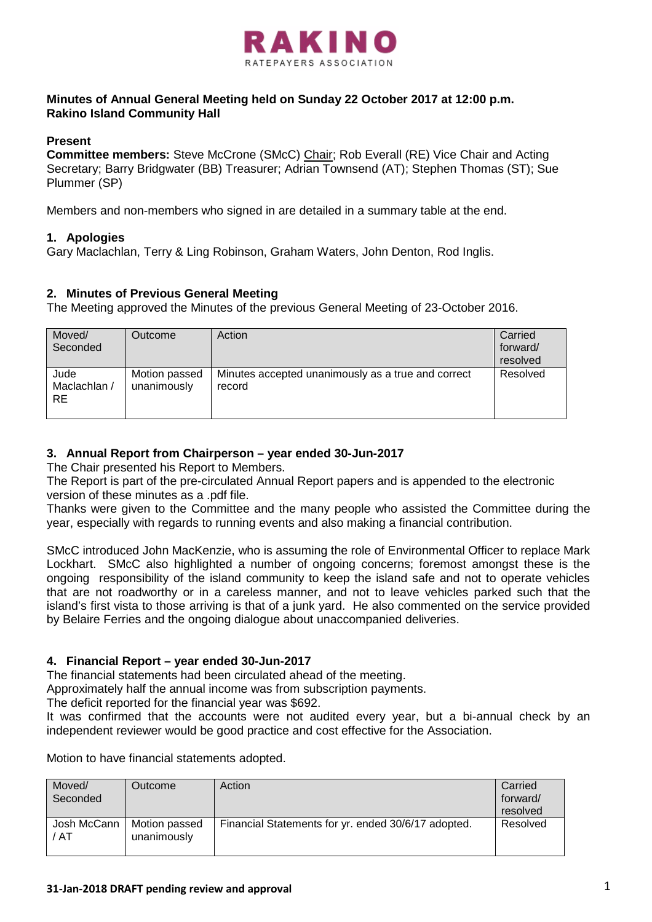

# **Minutes of Annual General Meeting held on Sunday 22 October 2017 at 12:00 p.m. Rakino Island Community Hall**

## **Present**

**Committee members:** Steve McCrone (SMcC) Chair; Rob Everall (RE) Vice Chair and Acting Secretary; Barry Bridgwater (BB) Treasurer; Adrian Townsend (AT); Stephen Thomas (ST); Sue Plummer (SP)

Members and non-members who signed in are detailed in a summary table at the end.

# **1. Apologies**

Gary Maclachlan, Terry & Ling Robinson, Graham Waters, John Denton, Rod Inglis.

## **2. Minutes of Previous General Meeting**

The Meeting approved the Minutes of the previous General Meeting of 23-October 2016.

| Moved/<br>Seconded          | Outcome                      | Action                                                       | Carried<br>forward/<br>resolved |
|-----------------------------|------------------------------|--------------------------------------------------------------|---------------------------------|
| Jude<br>Maclachlan /<br>RE. | Motion passed<br>unanimously | Minutes accepted unanimously as a true and correct<br>record | Resolved                        |

## **3. Annual Report from Chairperson – year ended 30-Jun-2017**

The Chair presented his Report to Members.

The Report is part of the pre-circulated Annual Report papers and is appended to the electronic version of these minutes as a .pdf file.

Thanks were given to the Committee and the many people who assisted the Committee during the year, especially with regards to running events and also making a financial contribution.

SMcC introduced John MacKenzie, who is assuming the role of Environmental Officer to replace Mark Lockhart. SMcC also highlighted a number of ongoing concerns; foremost amongst these is the ongoing responsibility of the island community to keep the island safe and not to operate vehicles that are not roadworthy or in a careless manner, and not to leave vehicles parked such that the island's first vista to those arriving is that of a junk yard. He also commented on the service provided by Belaire Ferries and the ongoing dialogue about unaccompanied deliveries.

## **4. Financial Report – year ended 30-Jun-2017**

The financial statements had been circulated ahead of the meeting.

Approximately half the annual income was from subscription payments.

The deficit reported for the financial year was \$692.

It was confirmed that the accounts were not audited every year, but a bi-annual check by an independent reviewer would be good practice and cost effective for the Association.

Motion to have financial statements adopted.

| Moved/<br>Seconded  | Outcome                      | Action                                              | Carried<br>forward/<br>resolved |
|---------------------|------------------------------|-----------------------------------------------------|---------------------------------|
| Josh McCann<br>/ AT | Motion passed<br>unanimously | Financial Statements for yr. ended 30/6/17 adopted. | Resolved                        |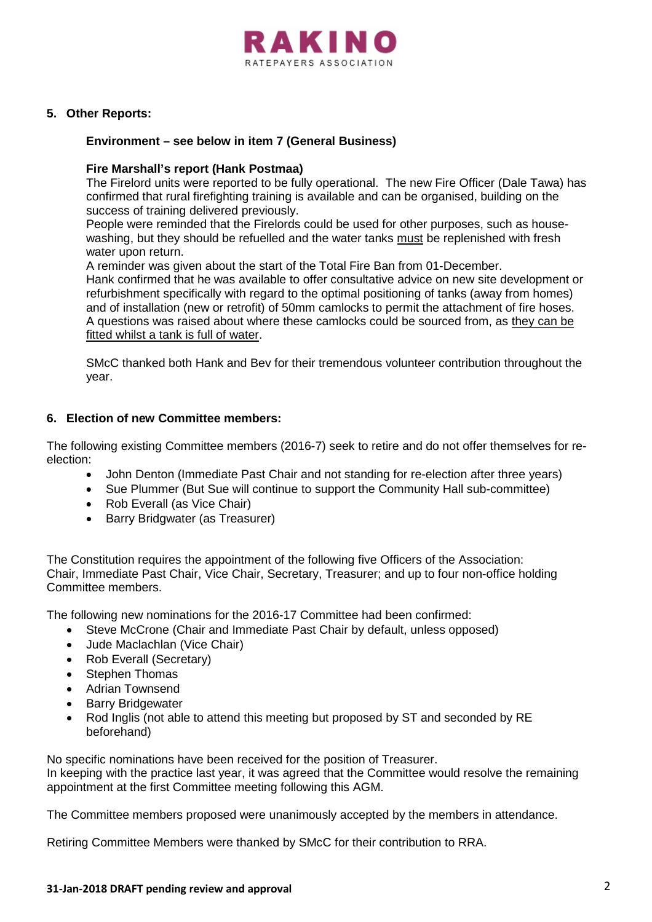

## **5. Other Reports:**

#### **Environment – see below in item 7 (General Business)**

#### **Fire Marshall's report (Hank Postmaa)**

The Firelord units were reported to be fully operational. The new Fire Officer (Dale Tawa) has confirmed that rural firefighting training is available and can be organised, building on the success of training delivered previously.

People were reminded that the Firelords could be used for other purposes, such as housewashing, but they should be refuelled and the water tanks must be replenished with fresh water upon return.

A reminder was given about the start of the Total Fire Ban from 01-December.

Hank confirmed that he was available to offer consultative advice on new site development or refurbishment specifically with regard to the optimal positioning of tanks (away from homes) and of installation (new or retrofit) of 50mm camlocks to permit the attachment of fire hoses. A questions was raised about where these camlocks could be sourced from, as they can be fitted whilst a tank is full of water.

SMcC thanked both Hank and Bev for their tremendous volunteer contribution throughout the year.

## **6. Election of new Committee members:**

The following existing Committee members (2016-7) seek to retire and do not offer themselves for reelection:

- John Denton (Immediate Past Chair and not standing for re-election after three years)
- Sue Plummer (But Sue will continue to support the Community Hall sub-committee)
- Rob Everall (as Vice Chair)
- Barry Bridgwater (as Treasurer)

The Constitution requires the appointment of the following five Officers of the Association: Chair, Immediate Past Chair, Vice Chair, Secretary, Treasurer; and up to four non-office holding Committee members.

The following new nominations for the 2016-17 Committee had been confirmed:

- Steve McCrone (Chair and Immediate Past Chair by default, unless opposed)
- Jude Maclachlan (Vice Chair)
- Rob Everall (Secretary)
- Stephen Thomas
- Adrian Townsend
- **Barry Bridgewater**
- Rod Inglis (not able to attend this meeting but proposed by ST and seconded by RE beforehand)

No specific nominations have been received for the position of Treasurer.

In keeping with the practice last year, it was agreed that the Committee would resolve the remaining appointment at the first Committee meeting following this AGM.

The Committee members proposed were unanimously accepted by the members in attendance.

Retiring Committee Members were thanked by SMcC for their contribution to RRA.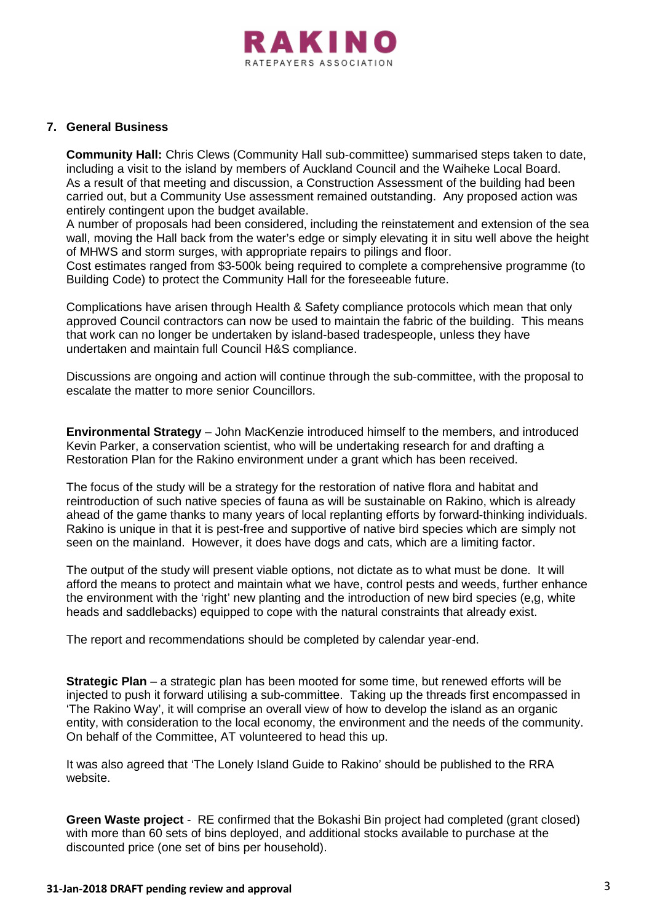

#### **7. General Business**

**Community Hall:** Chris Clews (Community Hall sub-committee) summarised steps taken to date, including a visit to the island by members of Auckland Council and the Waiheke Local Board. As a result of that meeting and discussion, a Construction Assessment of the building had been carried out, but a Community Use assessment remained outstanding. Any proposed action was entirely contingent upon the budget available.

A number of proposals had been considered, including the reinstatement and extension of the sea wall, moving the Hall back from the water's edge or simply elevating it in situ well above the height of MHWS and storm surges, with appropriate repairs to pilings and floor.

Cost estimates ranged from \$3-500k being required to complete a comprehensive programme (to Building Code) to protect the Community Hall for the foreseeable future.

Complications have arisen through Health & Safety compliance protocols which mean that only approved Council contractors can now be used to maintain the fabric of the building. This means that work can no longer be undertaken by island-based tradespeople, unless they have undertaken and maintain full Council H&S compliance.

Discussions are ongoing and action will continue through the sub-committee, with the proposal to escalate the matter to more senior Councillors.

**Environmental Strategy** – John MacKenzie introduced himself to the members, and introduced Kevin Parker, a conservation scientist, who will be undertaking research for and drafting a Restoration Plan for the Rakino environment under a grant which has been received.

The focus of the study will be a strategy for the restoration of native flora and habitat and reintroduction of such native species of fauna as will be sustainable on Rakino, which is already ahead of the game thanks to many years of local replanting efforts by forward-thinking individuals. Rakino is unique in that it is pest-free and supportive of native bird species which are simply not seen on the mainland. However, it does have dogs and cats, which are a limiting factor.

The output of the study will present viable options, not dictate as to what must be done. It will afford the means to protect and maintain what we have, control pests and weeds, further enhance the environment with the 'right' new planting and the introduction of new bird species (e,g, white heads and saddlebacks) equipped to cope with the natural constraints that already exist.

The report and recommendations should be completed by calendar year-end.

**Strategic Plan** – a strategic plan has been mooted for some time, but renewed efforts will be injected to push it forward utilising a sub-committee. Taking up the threads first encompassed in 'The Rakino Way', it will comprise an overall view of how to develop the island as an organic entity, with consideration to the local economy, the environment and the needs of the community. On behalf of the Committee, AT volunteered to head this up.

It was also agreed that 'The Lonely Island Guide to Rakino' should be published to the RRA website.

**Green Waste project** - RE confirmed that the Bokashi Bin project had completed (grant closed) with more than 60 sets of bins deployed, and additional stocks available to purchase at the discounted price (one set of bins per household).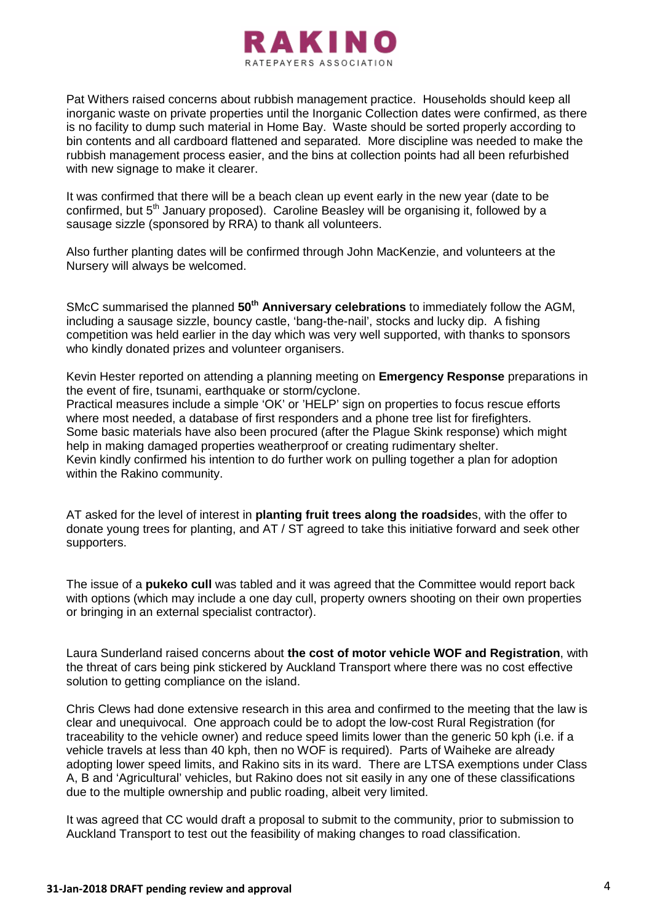

Pat Withers raised concerns about rubbish management practice. Households should keep all inorganic waste on private properties until the Inorganic Collection dates were confirmed, as there is no facility to dump such material in Home Bay. Waste should be sorted properly according to bin contents and all cardboard flattened and separated. More discipline was needed to make the rubbish management process easier, and the bins at collection points had all been refurbished with new signage to make it clearer.

It was confirmed that there will be a beach clean up event early in the new year (date to be confirmed, but 5<sup>th</sup> January proposed). Caroline Beasley will be organising it, followed by a sausage sizzle (sponsored by RRA) to thank all volunteers.

Also further planting dates will be confirmed through John MacKenzie, and volunteers at the Nursery will always be welcomed.

SMcC summarised the planned **50th Anniversary celebrations** to immediately follow the AGM, including a sausage sizzle, bouncy castle, 'bang-the-nail', stocks and lucky dip. A fishing competition was held earlier in the day which was very well supported, with thanks to sponsors who kindly donated prizes and volunteer organisers.

Kevin Hester reported on attending a planning meeting on **Emergency Response** preparations in the event of fire, tsunami, earthquake or storm/cyclone.

Practical measures include a simple 'OK' or 'HELP' sign on properties to focus rescue efforts where most needed, a database of first responders and a phone tree list for firefighters. Some basic materials have also been procured (after the Plague Skink response) which might help in making damaged properties weatherproof or creating rudimentary shelter. Kevin kindly confirmed his intention to do further work on pulling together a plan for adoption within the Rakino community.

AT asked for the level of interest in **planting fruit trees along the roadside**s, with the offer to donate young trees for planting, and AT / ST agreed to take this initiative forward and seek other supporters.

The issue of a **pukeko cull** was tabled and it was agreed that the Committee would report back with options (which may include a one day cull, property owners shooting on their own properties or bringing in an external specialist contractor).

Laura Sunderland raised concerns about **the cost of motor vehicle WOF and Registration**, with the threat of cars being pink stickered by Auckland Transport where there was no cost effective solution to getting compliance on the island.

Chris Clews had done extensive research in this area and confirmed to the meeting that the law is clear and unequivocal. One approach could be to adopt the low-cost Rural Registration (for traceability to the vehicle owner) and reduce speed limits lower than the generic 50 kph (i.e. if a vehicle travels at less than 40 kph, then no WOF is required). Parts of Waiheke are already adopting lower speed limits, and Rakino sits in its ward. There are LTSA exemptions under Class A, B and 'Agricultural' vehicles, but Rakino does not sit easily in any one of these classifications due to the multiple ownership and public roading, albeit very limited.

It was agreed that CC would draft a proposal to submit to the community, prior to submission to Auckland Transport to test out the feasibility of making changes to road classification.